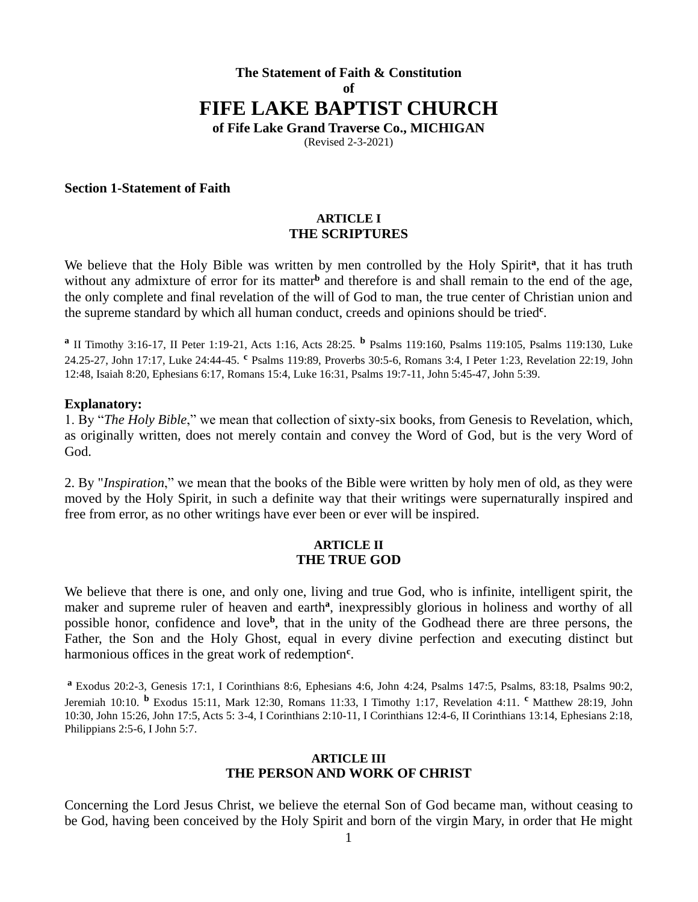# **The Statement of Faith & Constitution of FIFE LAKE BAPTIST CHURCH of Fife Lake Grand Traverse Co., MICHIGAN**

(Revised 2-3-2021)

### **Section 1-Statement of Faith**

### **ARTICLE I THE SCRIPTURES**

We believe that the Holy Bible was written by men controlled by the Holy Spirit<sup>a</sup>, that it has truth without any admixture of error for its matter<sup>b</sup> and therefore is and shall remain to the end of the age, the only complete and final revelation of the will of God to man, the true center of Christian union and the supreme standard by which all human conduct, creeds and opinions should be tried**<sup>c</sup>** .

**a** II Timothy 3:16-17, II Peter 1:19-21, Acts 1:16, Acts 28:25. **<sup>b</sup>** Psalms 119:160, Psalms 119:105, Psalms 119:130, Luke 24.25-27, John 17:17, Luke 24:44-45. **<sup>c</sup>** Psalms 119:89, Proverbs 30:5-6, Romans 3:4, I Peter 1:23, Revelation 22:19, John 12:48, Isaiah 8:20, Ephesians 6:17, Romans 15:4, Luke 16:31, Psalms 19:7-11, John 5:45-47, John 5:39.

#### **Explanatory:**

1. By "*The Holy Bible*," we mean that collection of sixty-six books, from Genesis to Revelation, which, as originally written, does not merely contain and convey the Word of God, but is the very Word of God.

2. By "*Inspiration*," we mean that the books of the Bible were written by holy men of old, as they were moved by the Holy Spirit, in such a definite way that their writings were supernaturally inspired and free from error, as no other writings have ever been or ever will be inspired.

### **ARTICLE II THE TRUE GOD**

We believe that there is one, and only one, living and true God, who is infinite, intelligent spirit, the maker and supreme ruler of heaven and earth<sup>a</sup>, inexpressibly glorious in holiness and worthy of all possible honor, confidence and love<sup>b</sup>, that in the unity of the Godhead there are three persons, the Father, the Son and the Holy Ghost, equal in every divine perfection and executing distinct but harmonious offices in the great work of redemption<sup>c</sup>.

**<sup>a</sup>** Exodus 20:2-3, Genesis 17:1, I Corinthians 8:6, Ephesians 4:6, John 4:24, Psalms 147:5, Psalms, 83:18, Psalms 90:2, Jeremiah 10:10. **<sup>b</sup>** Exodus 15:11, Mark 12:30, Romans 11:33, I Timothy 1:17, Revelation 4:11. **<sup>c</sup>** Matthew 28:19, John 10:30, John 15:26, John 17:5, Acts 5: 3-4, I Corinthians 2:10-11, I Corinthians 12:4-6, II Corinthians 13:14, Ephesians 2:18, Philippians 2:5-6, I John 5:7.

### **ARTICLE III THE PERSON AND WORK OF CHRIST**

Concerning the Lord Jesus Christ, we believe the eternal Son of God became man, without ceasing to be God, having been conceived by the Holy Spirit and born of the virgin Mary, in order that He might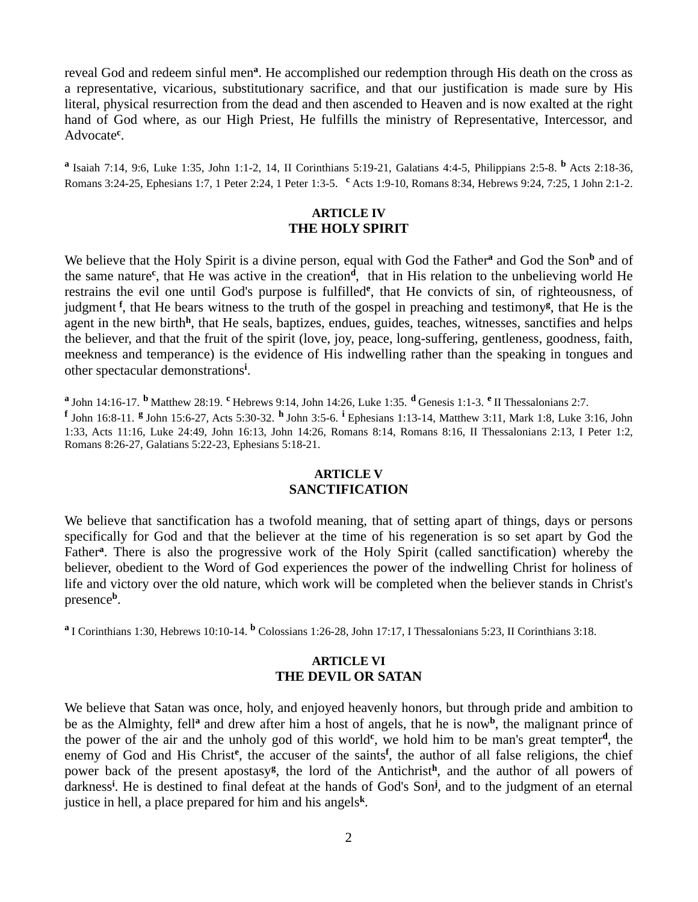reveal God and redeem sinful men<sup>a</sup>. He accomplished our redemption through His death on the cross as a representative, vicarious, substitutionary sacrifice, and that our justification is made sure by His literal, physical resurrection from the dead and then ascended to Heaven and is now exalted at the right hand of God where, as our High Priest, He fulfills the ministry of Representative, Intercessor, and Advocate**<sup>c</sup>** .

**a** Isaiah 7:14, 9:6, Luke 1:35, John 1:1-2, 14, II Corinthians 5:19-21, Galatians 4:4-5, Philippians 2:5-8. **<sup>b</sup>** Acts 2:18-36, Romans 3:24-25, Ephesians 1:7, 1 Peter 2:24, 1 Peter 1:3-5. **<sup>c</sup>** Acts 1:9-10, Romans 8:34, Hebrews 9:24, 7:25, 1 John 2:1-2.

### **ARTICLE IV THE HOLY SPIRIT**

We believe that the Holy Spirit is a divine person, equal with God the Father<sup>a</sup> and God the Son<sup>b</sup> and of the same nature**<sup>c</sup>** , that He was active in the creation**<sup>d</sup>** , that in His relation to the unbelieving world He restrains the evil one until God's purpose is fulfilled**<sup>e</sup>** , that He convicts of sin, of righteousness, of judgment<sup>f</sup>, that He bears witness to the truth of the gospel in preaching and testimony<sup>g</sup>, that He is the agent in the new birth<sup>h</sup>, that He seals, baptizes, endues, guides, teaches, witnesses, sanctifies and helps the believer, and that the fruit of the spirit (love, joy, peace, long-suffering, gentleness, goodness, faith, meekness and temperance) is the evidence of His indwelling rather than the speaking in tongues and other spectacular demonstrations**<sup>i</sup>** .

**a** John 14:16-17. **<sup>b</sup>** Matthew 28:19. **<sup>c</sup>**Hebrews 9:14, John 14:26, Luke 1:35. **<sup>d</sup>** Genesis 1:1-3. **<sup>e</sup>** II Thessalonians 2:7.

**f** John 16:8-11. **<sup>g</sup>**John 15:6-27, Acts 5:30-32. **<sup>h</sup>**John 3:5-6. **<sup>i</sup>**Ephesians 1:13-14, Matthew 3:11, Mark 1:8, Luke 3:16, John 1:33, Acts 11:16, Luke 24:49, John 16:13, John 14:26, Romans 8:14, Romans 8:16, II Thessalonians 2:13, I Peter 1:2, Romans 8:26-27, Galatians 5:22-23, Ephesians 5:18-21.

### **ARTICLE V SANCTIFICATION**

We believe that sanctification has a twofold meaning, that of setting apart of things, days or persons specifically for God and that the believer at the time of his regeneration is so set apart by God the Father<sup>a</sup>. There is also the progressive work of the Holy Spirit (called sanctification) whereby the believer, obedient to the Word of God experiences the power of the indwelling Christ for holiness of life and victory over the old nature, which work will be completed when the believer stands in Christ's presence**<sup>b</sup>** .

**<sup>a</sup>**I Corinthians 1:30, Hebrews 10:10-14. **<sup>b</sup>** Colossians 1:26-28, John 17:17, I Thessalonians 5:23, II Corinthians 3:18.

### **ARTICLE VI THE DEVIL OR SATAN**

We believe that Satan was once, holy, and enjoyed heavenly honors, but through pride and ambition to be as the Almighty, fell<sup>a</sup> and drew after him a host of angels, that he is now<sup>b</sup>, the malignant prince of the power of the air and the unholy god of this world<sup>c</sup>, we hold him to be man's great tempter<sup>d</sup>, the enemy of God and His Christ<sup>e</sup>, the accuser of the saints<sup>f</sup>, the author of all false religions, the chief power back of the present apostasy<sup>g</sup>, the lord of the Antichrist<sup>h</sup>, and the author of all powers of darkness**<sup>i</sup>** . He is destined to final defeat at the hands of God's Son**<sup>j</sup>** , and to the judgment of an eternal justice in hell, a place prepared for him and his angels**<sup>k</sup>** .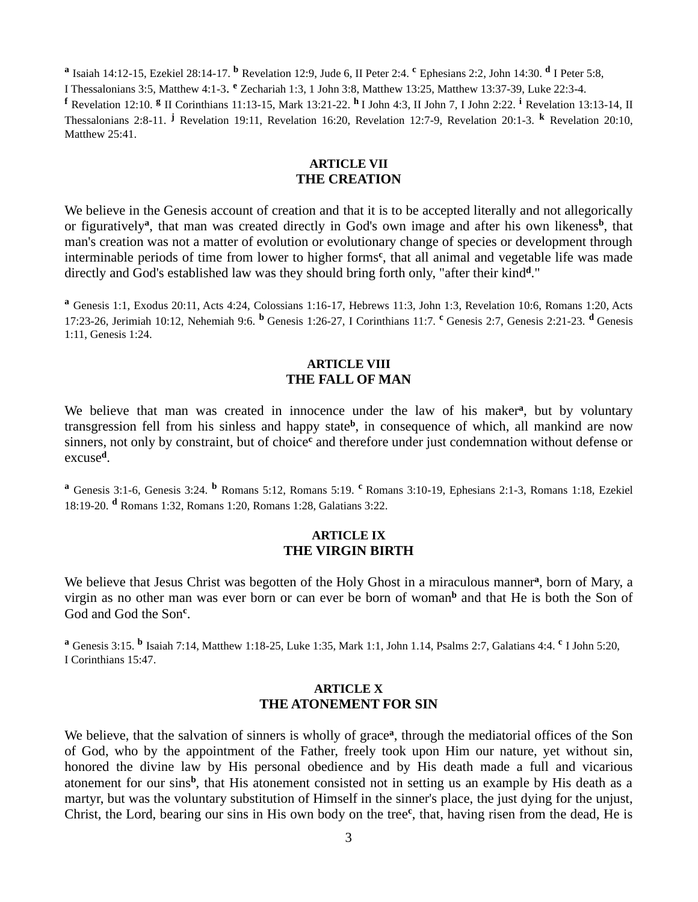**a** Isaiah 14:12-15, Ezekiel 28:14-17. **<sup>b</sup>** Revelation 12:9, Jude 6, II Peter 2:4. **<sup>c</sup>** Ephesians 2:2, John 14:30. **<sup>d</sup>** I Peter 5:8,

I Thessalonians 3:5, Matthew 4:1-3. **<sup>e</sup>** Zechariah 1:3, 1 John 3:8, Matthew 13:25, Matthew 13:37-39, Luke 22:3-4. **<sup>f</sup>** Revelation 12:10. **<sup>g</sup>** II Corinthians 11:13-15, Mark 13:21-22. **<sup>h</sup>** I John 4:3, II John 7, I John 2:22. **<sup>i</sup>** Revelation 13:13-14, II Thessalonians 2:8-11. **<sup>j</sup>** Revelation 19:11, Revelation 16:20, Revelation 12:7-9, Revelation 20:1-3. **<sup>k</sup>** Revelation 20:10, Matthew 25:41.

### **ARTICLE VII THE CREATION**

We believe in the Genesis account of creation and that it is to be accepted literally and not allegorically or figuratively<sup>a</sup>, that man was created directly in God's own image and after his own likeness<sup>b</sup>, that man's creation was not a matter of evolution or evolutionary change of species or development through interminable periods of time from lower to higher forms**<sup>c</sup>** , that all animal and vegetable life was made directly and God's established law was they should bring forth only, "after their kind**<sup>d</sup>** ."

**<sup>a</sup>** Genesis 1:1, Exodus 20:11, Acts 4:24, Colossians 1:16-17, Hebrews 11:3, John 1:3, Revelation 10:6, Romans 1:20, Acts 17:23-26, Jerimiah 10:12, Nehemiah 9:6. **<sup>b</sup>** Genesis 1:26-27, I Corinthians 11:7. **<sup>c</sup>** Genesis 2:7, Genesis 2:21-23. **<sup>d</sup>** Genesis 1:11, Genesis 1:24.

### **ARTICLE VIII THE FALL OF MAN**

We believe that man was created in innocence under the law of his maker<sup>a</sup>, but by voluntary transgression fell from his sinless and happy state**<sup>b</sup>** , in consequence of which, all mankind are now sinners, not only by constraint, but of choice<sup>c</sup> and therefore under just condemnation without defense or excuse**<sup>d</sup>** .

**<sup>a</sup>** Genesis 3:1-6, Genesis 3:24. **<sup>b</sup>** Romans 5:12, Romans 5:19. **<sup>c</sup>** Romans 3:10-19, Ephesians 2:1-3, Romans 1:18, Ezekiel 18:19-20. **<sup>d</sup>** Romans 1:32, Romans 1:20, Romans 1:28, Galatians 3:22.

### **ARTICLE IX THE VIRGIN BIRTH**

We believe that Jesus Christ was begotten of the Holy Ghost in a miraculous manner<sup>a</sup>, born of Mary, a virgin as no other man was ever born or can ever be born of woman**<sup>b</sup>** and that He is both the Son of God and God the Son**<sup>c</sup>** .

**<sup>a</sup>** Genesis 3:15. **<sup>b</sup>** Isaiah 7:14, Matthew 1:18-25, Luke 1:35, Mark 1:1, John 1.14, Psalms 2:7, Galatians 4:4. **<sup>c</sup>** I John 5:20, I Corinthians 15:47.

### **ARTICLE X THE ATONEMENT FOR SIN**

We believe, that the salvation of sinners is wholly of grace<sup>a</sup>, through the mediatorial offices of the Son of God, who by the appointment of the Father, freely took upon Him our nature, yet without sin, honored the divine law by His personal obedience and by His death made a full and vicarious atonement for our sins<sup>b</sup>, that His atonement consisted not in setting us an example by His death as a martyr, but was the voluntary substitution of Himself in the sinner's place, the just dying for the unjust, Christ, the Lord, bearing our sins in His own body on the tree**<sup>c</sup>** , that, having risen from the dead, He is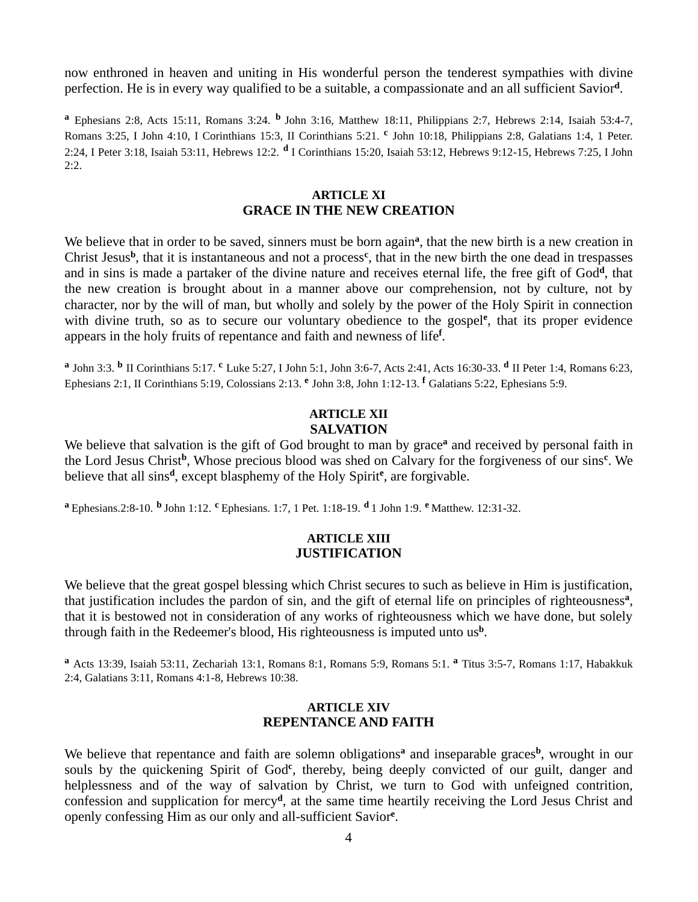now enthroned in heaven and uniting in His wonderful person the tenderest sympathies with divine perfection. He is in every way qualified to be a suitable, a compassionate and an all sufficient Savior**<sup>d</sup>** .

**<sup>a</sup>** Ephesians 2:8, Acts 15:11, Romans 3:24. **<sup>b</sup>**John 3:16, Matthew 18:11, Philippians 2:7, Hebrews 2:14, Isaiah 53:4-7, Romans 3:25, I John 4:10, I Corinthians 15:3, II Corinthians 5:21. **<sup>c</sup>** John 10:18, Philippians 2:8, Galatians 1:4, 1 Peter. 2:24, I Peter 3:18, Isaiah 53:11, Hebrews 12:2. **<sup>d</sup>** I Corinthians 15:20, Isaiah 53:12, Hebrews 9:12-15, Hebrews 7:25, I John  $2:2.$ 

### **ARTICLE XI GRACE IN THE NEW CREATION**

We believe that in order to be saved, sinners must be born again<sup>a</sup>, that the new birth is a new creation in Christ Jesus**<sup>b</sup>** , that it is instantaneous and not a process**<sup>c</sup>** , that in the new birth the one dead in trespasses and in sins is made a partaker of the divine nature and receives eternal life, the free gift of God**<sup>d</sup>** , that the new creation is brought about in a manner above our comprehension, not by culture, not by character, nor by the will of man, but wholly and solely by the power of the Holy Spirit in connection with divine truth, so as to secure our voluntary obedience to the gospel<sup>e</sup>, that its proper evidence appears in the holy fruits of repentance and faith and newness of life**<sup>f</sup>** .

**a** John 3:3. **<sup>b</sup>** II Corinthians 5:17. **<sup>c</sup>** Luke 5:27, I John 5:1, John 3:6-7, Acts 2:41, Acts 16:30-33. **d** II Peter 1:4, Romans 6:23, Ephesians 2:1, II Corinthians 5:19, Colossians 2:13. **<sup>e</sup>** John 3:8, John 1:12-13. **<sup>f</sup>** Galatians 5:22, Ephesians 5:9.

### **ARTICLE XII SALVATION**

We believe that salvation is the gift of God brought to man by grace**<sup>a</sup>** and received by personal faith in the Lord Jesus Christ<sup>b</sup>, Whose precious blood was shed on Calvary for the forgiveness of our sins<sup>c</sup>. We believe that all sins**<sup>d</sup>** , except blasphemy of the Holy Spirit**<sup>e</sup>** , are forgivable.

**<sup>a</sup>** Ephesians.2:8-10. **b** John 1:12. **<sup>c</sup>** Ephesians. 1:7, 1 Pet. 1:18-19. **d** 1 John 1:9. **<sup>e</sup>** Matthew. 12:31-32.

### **ARTICLE XIII JUSTIFICATION**

We believe that the great gospel blessing which Christ secures to such as believe in Him is justification, that justification includes the pardon of sin, and the gift of eternal life on principles of righteousness**<sup>a</sup>** , that it is bestowed not in consideration of any works of righteousness which we have done, but solely through faith in the Redeemer's blood, His righteousness is imputed unto us**<sup>b</sup>** .

**<sup>a</sup>** Acts 13:39, Isaiah 53:11, Zechariah 13:1, Romans 8:1, Romans 5:9, Romans 5:1. **<sup>a</sup>** Titus 3:5-7, Romans 1:17, Habakkuk 2:4, Galatians 3:11, Romans 4:1-8, Hebrews 10:38.

### **ARTICLE XIV REPENTANCE AND FAITH**

We believe that repentance and faith are solemn obligations<sup>a</sup> and inseparable graces<sup>b</sup>, wrought in our souls by the quickening Spirit of God<sup>e</sup>, thereby, being deeply convicted of our guilt, danger and helplessness and of the way of salvation by Christ, we turn to God with unfeigned contrition, confession and supplication for mercy**<sup>d</sup>** , at the same time heartily receiving the Lord Jesus Christ and openly confessing Him as our only and all-sufficient Savior**<sup>e</sup>** .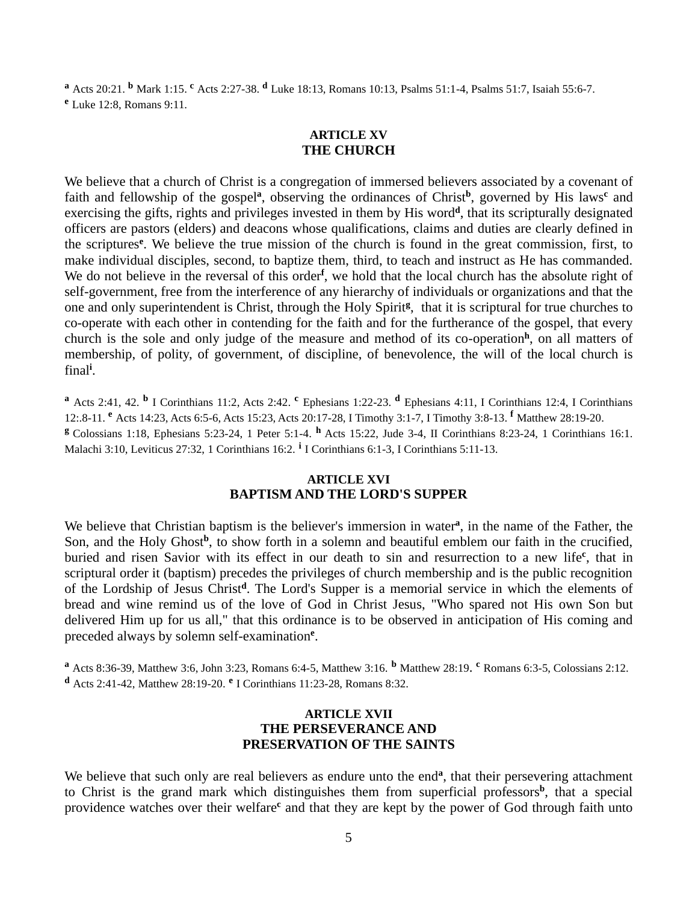**<sup>a</sup>** Acts 20:21. **<sup>b</sup>** Mark 1:15. **<sup>c</sup>** Acts 2:27-38. **<sup>d</sup>** Luke 18:13, Romans 10:13, Psalms 51:1-4, Psalms 51:7, Isaiah 55:6-7. **<sup>e</sup>** Luke 12:8, Romans 9:11.

### **ARTICLE XV THE CHURCH**

We believe that a church of Christ is a congregation of immersed believers associated by a covenant of faith and fellowship of the gospel**<sup>a</sup>** , observing the ordinances of Christ**<sup>b</sup>** , governed by His laws**<sup>c</sup>** and exercising the gifts, rights and privileges invested in them by His word<sup>d</sup>, that its scripturally designated officers are pastors (elders) and deacons whose qualifications, claims and duties are clearly defined in the scriptures**<sup>e</sup>** . We believe the true mission of the church is found in the great commission, first, to make individual disciples, second, to baptize them, third, to teach and instruct as He has commanded. We do not believe in the reversal of this order<sup>f</sup>, we hold that the local church has the absolute right of self-government, free from the interference of any hierarchy of individuals or organizations and that the one and only superintendent is Christ, through the Holy Spirit**<sup>g</sup>** , that it is scriptural for true churches to co-operate with each other in contending for the faith and for the furtherance of the gospel, that every church is the sole and only judge of the measure and method of its co-operation**<sup>h</sup>** , on all matters of membership, of polity, of government, of discipline, of benevolence, the will of the local church is final**<sup>i</sup>** .

**<sup>a</sup>** Acts 2:41, 42. **b** I Corinthians 11:2, Acts 2:42. **<sup>c</sup>** Ephesians 1:22-23. **<sup>d</sup>** Ephesians 4:11, I Corinthians 12:4, I Corinthians 12:.8-11. **<sup>e</sup>** Acts 14:23, Acts 6:5-6, Acts 15:23, Acts 20:17-28, I Timothy 3:1-7, I Timothy 3:8-13. **<sup>f</sup>** Matthew 28:19-20. **<sup>g</sup>** Colossians 1:18, Ephesians 5:23-24, 1 Peter 5:1-4. **<sup>h</sup>** Acts 15:22, Jude 3-4, II Corinthians 8:23-24, 1 Corinthians 16:1. Malachi 3:10, Leviticus 27:32, 1 Corinthians 16:2. **<sup>i</sup>** I Corinthians 6:1-3, I Corinthians 5:11-13.

### **ARTICLE XVI BAPTISM AND THE LORD'S SUPPER**

We believe that Christian baptism is the believer's immersion in water<sup>a</sup>, in the name of the Father, the Son, and the Holy Ghost<sup>b</sup>, to show forth in a solemn and beautiful emblem our faith in the crucified, buried and risen Savior with its effect in our death to sin and resurrection to a new life**<sup>c</sup>** , that in scriptural order it (baptism) precedes the privileges of church membership and is the public recognition of the Lordship of Jesus Christ**<sup>d</sup>** . The Lord's Supper is a memorial service in which the elements of bread and wine remind us of the love of God in Christ Jesus, "Who spared not His own Son but delivered Him up for us all," that this ordinance is to be observed in anticipation of His coming and preceded always by solemn self-examination**<sup>e</sup>** .

**<sup>a</sup>** Acts 8:36-39, Matthew 3:6, John 3:23, Romans 6:4-5, Matthew 3:16. **<sup>b</sup>** Matthew 28:19. **<sup>c</sup>** Romans 6:3-5, Colossians 2:12. **<sup>d</sup>** Acts 2:41-42, Matthew 28:19-20. **<sup>e</sup>** I Corinthians 11:23-28, Romans 8:32.

### **ARTICLE XVII THE PERSEVERANCE AND PRESERVATION OF THE SAINTS**

We believe that such only are real believers as endure unto the end<sup>a</sup>, that their persevering attachment to Christ is the grand mark which distinguishes them from superficial professors<sup>b</sup>, that a special providence watches over their welfare<sup>c</sup> and that they are kept by the power of God through faith unto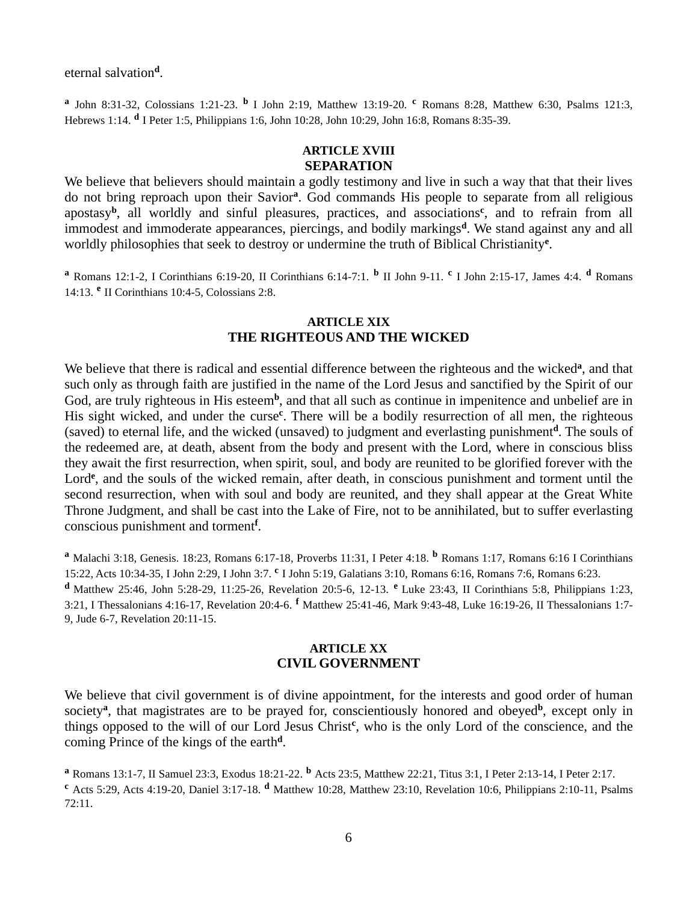eternal salvation**<sup>d</sup>** .

**a** John 8:31-32, Colossians 1:21-23. **<sup>b</sup>** I John 2:19, Matthew 13:19-20. **<sup>c</sup>** Romans 8:28, Matthew 6:30, Psalms 121:3, Hebrews 1:14. **<sup>d</sup>** I Peter 1:5, Philippians 1:6, John 10:28, John 10:29, John 16:8, Romans 8:35-39.

# **ARTICLE XVIII SEPARATION**

We believe that believers should maintain a godly testimony and live in such a way that that their lives do not bring reproach upon their Savior**<sup>a</sup>** . God commands His people to separate from all religious apostasy<sup>b</sup>, all worldly and sinful pleasures, practices, and associations<sup>c</sup>, and to refrain from all immodest and immoderate appearances, piercings, and bodily markings**<sup>d</sup>** . We stand against any and all worldly philosophies that seek to destroy or undermine the truth of Biblical Christianity**<sup>e</sup>** .

**<sup>a</sup>** Romans 12:1-2, I Corinthians 6:19-20, II Corinthians 6:14-7:1. **<sup>b</sup>** II John 9-11. **<sup>c</sup>** I John 2:15-17, James 4:4. **<sup>d</sup>** Romans 14:13. **<sup>e</sup>** II Corinthians 10:4-5, Colossians 2:8.

### **ARTICLE XIX THE RIGHTEOUS AND THE WICKED**

We believe that there is radical and essential difference between the righteous and the wicked<sup>a</sup>, and that such only as through faith are justified in the name of the Lord Jesus and sanctified by the Spirit of our God, are truly righteous in His esteem<sup>b</sup>, and that all such as continue in impenitence and unbelief are in His sight wicked, and under the curse**<sup>c</sup>** . There will be a bodily resurrection of all men, the righteous (saved) to eternal life, and the wicked (unsaved) to judgment and everlasting punishment**<sup>d</sup>** . The souls of the redeemed are, at death, absent from the body and present with the Lord, where in conscious bliss they await the first resurrection, when spirit, soul, and body are reunited to be glorified forever with the Lord<sup>e</sup>, and the souls of the wicked remain, after death, in conscious punishment and torment until the second resurrection, when with soul and body are reunited, and they shall appear at the Great White Throne Judgment, and shall be cast into the Lake of Fire, not to be annihilated, but to suffer everlasting conscious punishment and torment**<sup>f</sup>** .

**<sup>a</sup>** Malachi 3:18, Genesis. 18:23, Romans 6:17-18, Proverbs 11:31, I Peter 4:18. **<sup>b</sup>** Romans 1:17, Romans 6:16 I Corinthians 15:22, Acts 10:34-35, I John 2:29, I John 3:7. **<sup>c</sup>** I John 5:19, Galatians 3:10, Romans 6:16, Romans 7:6, Romans 6:23.

**<sup>d</sup>** Matthew 25:46, John 5:28-29, 11:25-26, Revelation 20:5-6, 12-13. **<sup>e</sup>** Luke 23:43, II Corinthians 5:8, Philippians 1:23, 3:21, I Thessalonians 4:16-17, Revelation 20:4-6. **<sup>f</sup>** Matthew 25:41-46, Mark 9:43-48, Luke 16:19-26, II Thessalonians 1:7- 9, Jude 6-7, Revelation 20:11-15.

### **ARTICLE XX CIVIL GOVERNMENT**

We believe that civil government is of divine appointment, for the interests and good order of human society<sup>a</sup>, that magistrates are to be prayed for, conscientiously honored and obeyed<sup>b</sup>, except only in things opposed to the will of our Lord Jesus Christ**<sup>c</sup>** , who is the only Lord of the conscience, and the coming Prince of the kings of the earth**<sup>d</sup>** .

**<sup>a</sup>** Romans 13:1-7, II Samuel 23:3, Exodus 18:21-22. **<sup>b</sup>** Acts 23:5, Matthew 22:21, Titus 3:1, I Peter 2:13-14, I Peter 2:17. **<sup>c</sup>** Acts 5:29, Acts 4:19-20, Daniel 3:17-18. **<sup>d</sup>** Matthew 10:28, Matthew 23:10, Revelation 10:6, Philippians 2:10-11, Psalms 72:11.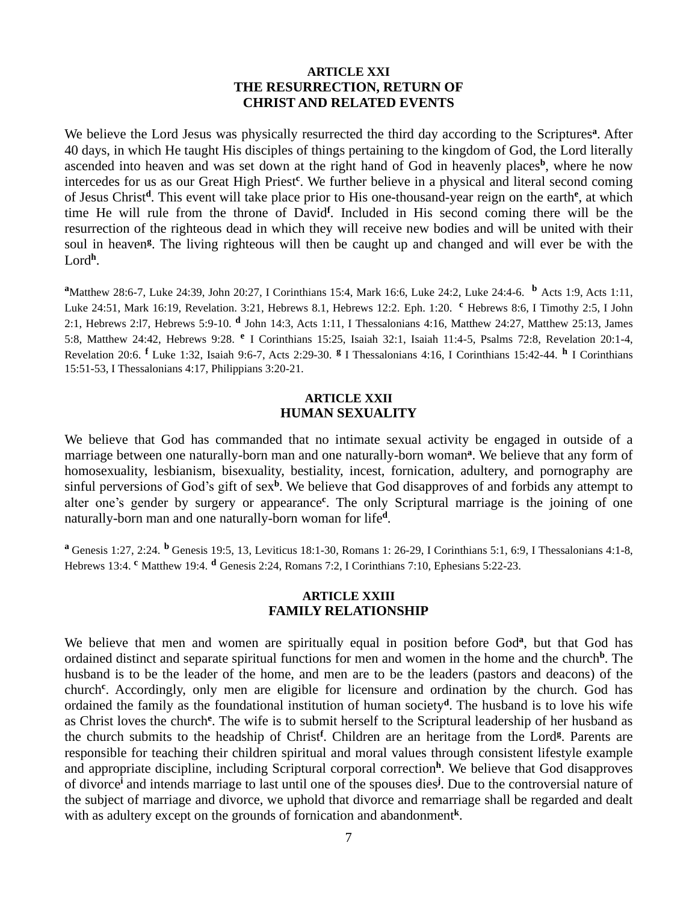### **ARTICLE XXI THE RESURRECTION, RETURN OF CHRIST AND RELATED EVENTS**

We believe the Lord Jesus was physically resurrected the third day according to the Scriptures<sup>a</sup>. After 40 days, in which He taught His disciples of things pertaining to the kingdom of God, the Lord literally ascended into heaven and was set down at the right hand of God in heavenly places<sup>b</sup>, where he now intercedes for us as our Great High Priest**<sup>c</sup>** . We further believe in a physical and literal second coming of Jesus Christ**<sup>d</sup>** . This event will take place prior to His one-thousand-year reign on the earth**<sup>e</sup>** , at which time He will rule from the throne of David**<sup>f</sup>** . Included in His second coming there will be the resurrection of the righteous dead in which they will receive new bodies and will be united with their soul in heaven<sup>g</sup>. The living righteous will then be caught up and changed and will ever be with the Lord**<sup>h</sup>** .

**<sup>a</sup>**Matthew 28:6-7, Luke 24:39, John 20:27, I Corinthians 15:4, Mark 16:6, Luke 24:2, Luke 24:4-6. **<sup>b</sup>** Acts 1:9, Acts 1:11, Luke 24:51, Mark 16:19, Revelation. 3:21, Hebrews 8.1, Hebrews 12:2. Eph. 1:20. **<sup>c</sup>** Hebrews 8:6, I Timothy 2:5, I John 2:1, Hebrews 2:l7, Hebrews 5:9-10. **<sup>d</sup>** John 14:3, Acts 1:11, I Thessalonians 4:16, Matthew 24:27, Matthew 25:13, James 5:8, Matthew 24:42, Hebrews 9:28. **<sup>e</sup>** I Corinthians 15:25, Isaiah 32:1, Isaiah 11:4-5, Psalms 72:8, Revelation 20:1-4, Revelation 20:6. **<sup>f</sup>** Luke 1:32, Isaiah 9:6-7, Acts 2:29-30. **<sup>g</sup>** I Thessalonians 4:16, I Corinthians 15:42-44. **<sup>h</sup>** I Corinthians 15:51-53, I Thessalonians 4:17, Philippians 3:20-21.

### **ARTICLE XXII HUMAN SEXUALITY**

We believe that God has commanded that no intimate sexual activity be engaged in outside of a marriage between one naturally-born man and one naturally-born woman<sup>a</sup>. We believe that any form of homosexuality, lesbianism, bisexuality, bestiality, incest, fornication, adultery, and pornography are sinful perversions of God's gift of sex**<sup>b</sup>** . We believe that God disapproves of and forbids any attempt to alter one's gender by surgery or appearance**<sup>c</sup>** . The only Scriptural marriage is the joining of one naturally-born man and one naturally-born woman for life**<sup>d</sup>** .

**<sup>a</sup>**Genesis 1:27, 2:24. **<sup>b</sup>** Genesis 19:5, 13, Leviticus 18:1-30, Romans 1: 26-29, I Corinthians 5:1, 6:9, I Thessalonians 4:1-8, Hebrews 13:4. **<sup>c</sup>** Matthew 19:4. **<sup>d</sup>** Genesis 2:24, Romans 7:2, I Corinthians 7:10, Ephesians 5:22-23.

### **ARTICLE XXIII FAMILY RELATIONSHIP**

We believe that men and women are spiritually equal in position before God<sup>a</sup>, but that God has ordained distinct and separate spiritual functions for men and women in the home and the church<sup>b</sup>. The husband is to be the leader of the home, and men are to be the leaders (pastors and deacons) of the church**<sup>c</sup>** . Accordingly, only men are eligible for licensure and ordination by the church. God has ordained the family as the foundational institution of human society**<sup>d</sup>** . The husband is to love his wife as Christ loves the church<sup>e</sup>. The wife is to submit herself to the Scriptural leadership of her husband as the church submits to the headship of Christ**<sup>f</sup>** . Children are an heritage from the Lord**<sup>g</sup>** . Parents are responsible for teaching their children spiritual and moral values through consistent lifestyle example and appropriate discipline, including Scriptural corporal correction**<sup>h</sup>** . We believe that God disapproves of divorce**<sup>i</sup>** and intends marriage to last until one of the spouses dies**<sup>j</sup>** . Due to the controversial nature of the subject of marriage and divorce, we uphold that divorce and remarriage shall be regarded and dealt with as adultery except on the grounds of fornication and abandonment<sup>k</sup>.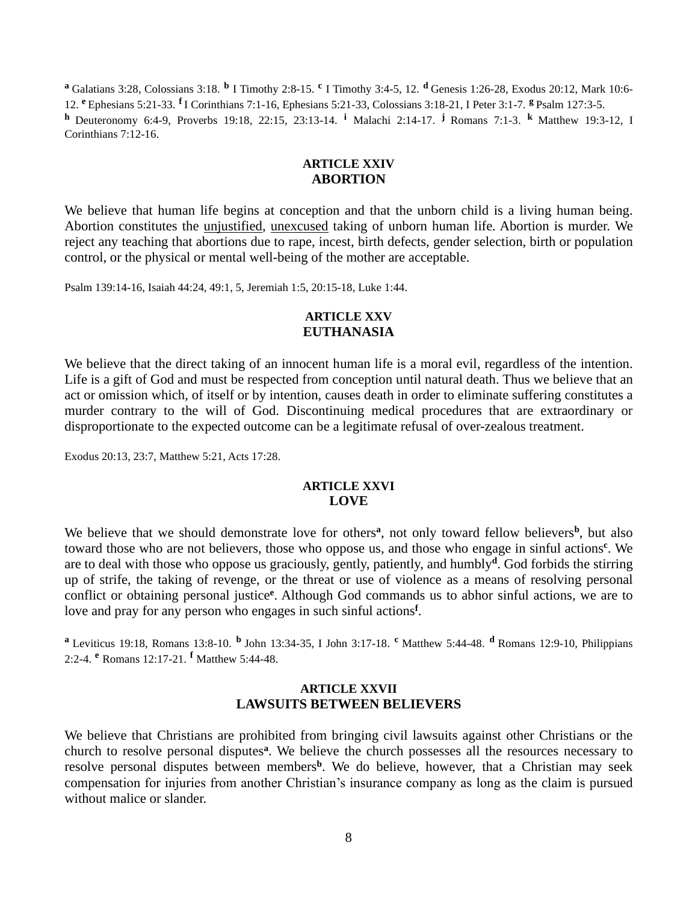**a** Galatians 3:28, Colossians 3:18. **b** I Timothy 2:8-15. <sup>c</sup> I Timothy 3:4-5, 12. **d** Genesis 1:26-28, Exodus 20:12, Mark 10:6-12. **<sup>e</sup>**Ephesians 5:21-33. **<sup>f</sup>**I Corinthians 7:1-16, Ephesians 5:21-33, Colossians 3:18-21, I Peter 3:1-7. **<sup>g</sup>**Psalm 127:3-5. **h** Deuteronomy 6:4-9, Proverbs 19:18, 22:15, 23:13-14. <sup>i</sup> Malachi 2:14-17. <sup>j</sup> Romans 7:1-3. <sup>k</sup> Matthew 19:3-12, I Corinthians 7:12-16.

### **ARTICLE XXIV ABORTION**

We believe that human life begins at conception and that the unborn child is a living human being. Abortion constitutes the unjustified, unexcused taking of unborn human life. Abortion is murder. We reject any teaching that abortions due to rape, incest, birth defects, gender selection, birth or population control, or the physical or mental well-being of the mother are acceptable.

Psalm 139:14-16, Isaiah 44:24, 49:1, 5, Jeremiah 1:5, 20:15-18, Luke 1:44.

### **ARTICLE XXV EUTHANASIA**

We believe that the direct taking of an innocent human life is a moral evil, regardless of the intention. Life is a gift of God and must be respected from conception until natural death. Thus we believe that an act or omission which, of itself or by intention, causes death in order to eliminate suffering constitutes a murder contrary to the will of God. Discontinuing medical procedures that are extraordinary or disproportionate to the expected outcome can be a legitimate refusal of over-zealous treatment.

Exodus 20:13, 23:7, Matthew 5:21, Acts 17:28.

### **ARTICLE XXVI LOVE**

We believe that we should demonstrate love for others<sup>a</sup>, not only toward fellow believers<sup>b</sup>, but also toward those who are not believers, those who oppose us, and those who engage in sinful actions**<sup>c</sup>** . We are to deal with those who oppose us graciously, gently, patiently, and humbly**<sup>d</sup>** . God forbids the stirring up of strife, the taking of revenge, or the threat or use of violence as a means of resolving personal conflict or obtaining personal justice **e** . Although God commands us to abhor sinful actions, we are to love and pray for any person who engages in such sinful actions**<sup>f</sup>** .

**a** Leviticus 19:18, Romans 13:8-10. **b** John 13:34-35, I John 3:17-18. **c** Matthew 5:44-48. **d** Romans 12:9-10, Philippians 2:2-4. **<sup>e</sup>** Romans 12:17-21. **<sup>f</sup>** Matthew 5:44-48.

### **ARTICLE XXVII LAWSUITS BETWEEN BELIEVERS**

We believe that Christians are prohibited from bringing civil lawsuits against other Christians or the church to resolve personal disputes**<sup>a</sup>** . We believe the church possesses all the resources necessary to resolve personal disputes between members**<sup>b</sup>** . We do believe, however, that a Christian may seek compensation for injuries from another Christian's insurance company as long as the claim is pursued without malice or slander.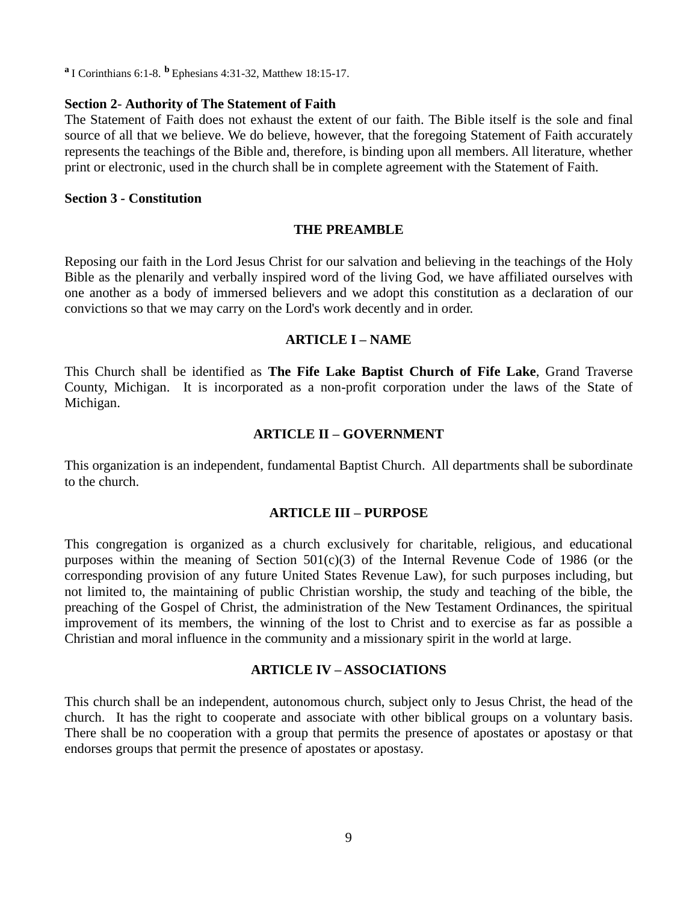**<sup>a</sup>**I Corinthians 6:1-8. **<sup>b</sup>**Ephesians 4:31-32, Matthew 18:15-17.

#### **Section 2**- **Authority of The Statement of Faith**

The Statement of Faith does not exhaust the extent of our faith. The Bible itself is the sole and final source of all that we believe. We do believe, however, that the foregoing Statement of Faith accurately represents the teachings of the Bible and, therefore, is binding upon all members. All literature, whether print or electronic, used in the church shall be in complete agreement with the Statement of Faith.

#### **Section 3** *-* **Constitution**

#### **THE PREAMBLE**

Reposing our faith in the Lord Jesus Christ for our salvation and believing in the teachings of the Holy Bible as the plenarily and verbally inspired word of the living God, we have affiliated ourselves with one another as a body of immersed believers and we adopt this constitution as a declaration of our convictions so that we may carry on the Lord's work decently and in order.

#### **ARTICLE I – NAME**

This Church shall be identified as **The Fife Lake Baptist Church of Fife Lake**, Grand Traverse County, Michigan. It is incorporated as a non-profit corporation under the laws of the State of Michigan.

### **ARTICLE II – GOVERNMENT**

This organization is an independent, fundamental Baptist Church. All departments shall be subordinate to the church.

#### **ARTICLE III – PURPOSE**

This congregation is organized as a church exclusively for charitable, religious, and educational purposes within the meaning of Section  $501(c)(3)$  of the Internal Revenue Code of 1986 (or the corresponding provision of any future United States Revenue Law), for such purposes including, but not limited to, the maintaining of public Christian worship, the study and teaching of the bible, the preaching of the Gospel of Christ, the administration of the New Testament Ordinances, the spiritual improvement of its members, the winning of the lost to Christ and to exercise as far as possible a Christian and moral influence in the community and a missionary spirit in the world at large.

### **ARTICLE IV – ASSOCIATIONS**

This church shall be an independent, autonomous church, subject only to Jesus Christ, the head of the church. It has the right to cooperate and associate with other biblical groups on a voluntary basis. There shall be no cooperation with a group that permits the presence of apostates or apostasy or that endorses groups that permit the presence of apostates or apostasy.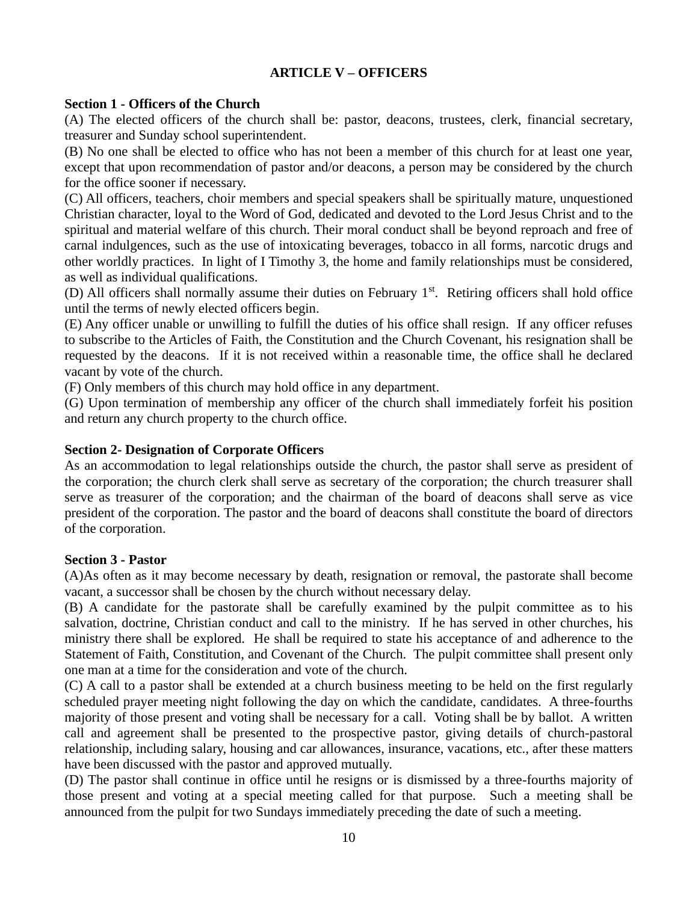# **ARTICLE V – OFFICERS**

# **Section 1 - Officers of the Church**

(A) The elected officers of the church shall be: pastor, deacons, trustees, clerk, financial secretary, treasurer and Sunday school superintendent.

(B) No one shall be elected to office who has not been a member of this church for at least one year, except that upon recommendation of pastor and/or deacons, a person may be considered by the church for the office sooner if necessary.

(C) All officers, teachers, choir members and special speakers shall be spiritually mature, unquestioned Christian character, loyal to the Word of God, dedicated and devoted to the Lord Jesus Christ and to the spiritual and material welfare of this church. Their moral conduct shall be beyond reproach and free of carnal indulgences, such as the use of intoxicating beverages, tobacco in all forms, narcotic drugs and other worldly practices. In light of I Timothy 3, the home and family relationships must be considered, as well as individual qualifications.

(D) All officers shall normally assume their duties on February 1st. Retiring officers shall hold office until the terms of newly elected officers begin.

(E) Any officer unable or unwilling to fulfill the duties of his office shall resign. If any officer refuses to subscribe to the Articles of Faith, the Constitution and the Church Covenant, his resignation shall be requested by the deacons. If it is not received within a reasonable time, the office shall he declared vacant by vote of the church.

(F) Only members of this church may hold office in any department.

(G) Upon termination of membership any officer of the church shall immediately forfeit his position and return any church property to the church office.

# **Section 2- Designation of Corporate Officers**

As an accommodation to legal relationships outside the church, the pastor shall serve as president of the corporation; the church clerk shall serve as secretary of the corporation; the church treasurer shall serve as treasurer of the corporation; and the chairman of the board of deacons shall serve as vice president of the corporation. The pastor and the board of deacons shall constitute the board of directors of the corporation.

### **Section 3 - Pastor**

(A)As often as it may become necessary by death, resignation or removal, the pastorate shall become vacant, a successor shall be chosen by the church without necessary delay.

(B) A candidate for the pastorate shall be carefully examined by the pulpit committee as to his salvation, doctrine, Christian conduct and call to the ministry. If he has served in other churches, his ministry there shall be explored. He shall be required to state his acceptance of and adherence to the Statement of Faith, Constitution, and Covenant of the Church. The pulpit committee shall present only one man at a time for the consideration and vote of the church.

(C) A call to a pastor shall be extended at a church business meeting to be held on the first regularly scheduled prayer meeting night following the day on which the candidate, candidates. A three-fourths majority of those present and voting shall be necessary for a call. Voting shall be by ballot. A written call and agreement shall be presented to the prospective pastor, giving details of church-pastoral relationship, including salary, housing and car allowances, insurance, vacations, etc., after these matters have been discussed with the pastor and approved mutually.

(D) The pastor shall continue in office until he resigns or is dismissed by a three-fourths majority of those present and voting at a special meeting called for that purpose. Such a meeting shall be announced from the pulpit for two Sundays immediately preceding the date of such a meeting.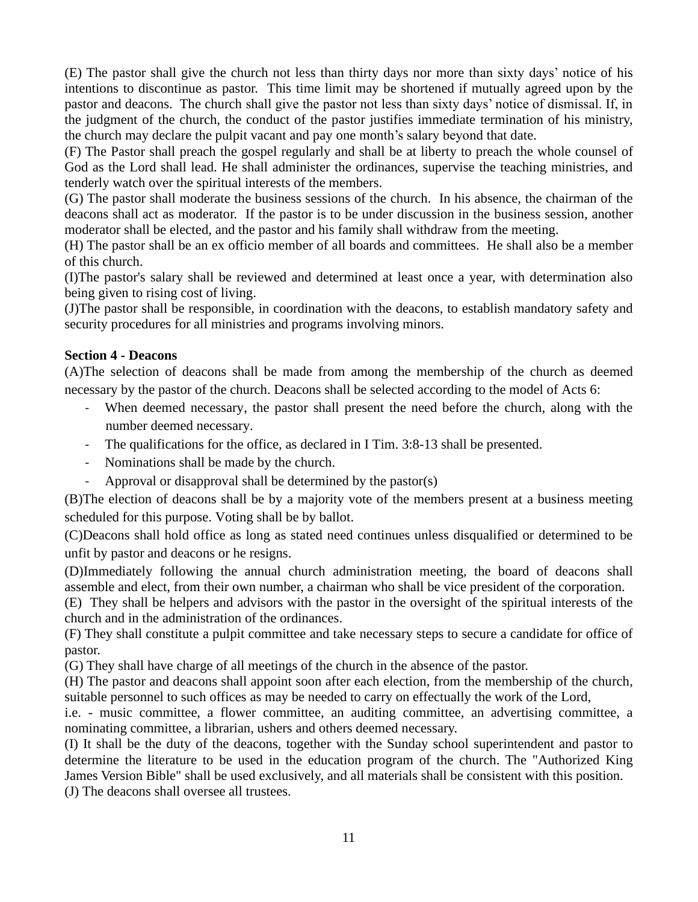(E) The pastor shall give the church not less than thirty days nor more than sixty days' notice of his intentions to discontinue as pastor. This time limit may be shortened if mutually agreed upon by the pastor and deacons. The church shall give the pastor not less than sixty days' notice of dismissal. If, in the judgment of the church, the conduct of the pastor justifies immediate termination of his ministry, the church may declare the pulpit vacant and pay one month's salary beyond that date.

(F) The Pastor shall preach the gospel regularly and shall be at liberty to preach the whole counsel of God as the Lord shall lead. He shall administer the ordinances, supervise the teaching ministries, and tenderly watch over the spiritual interests of the members.

(G) The pastor shall moderate the business sessions of the church. In his absence, the chairman of the deacons shall act as moderator. If the pastor is to be under discussion in the business session, another moderator shall be elected, and the pastor and his family shall withdraw from the meeting.

(H) The pastor shall be an ex officio member of all boards and committees. He shall also be a member of this church.

(I)The pastor's salary shall be reviewed and determined at least once a year, with determination also being given to rising cost of living.

(J)The pastor shall be responsible, in coordination with the deacons, to establish mandatory safety and security procedures for all ministries and programs involving minors.

# **Section 4 - Deacons**

(A)The selection of deacons shall be made from among the membership of the church as deemed necessary by the pastor of the church. Deacons shall be selected according to the model of Acts 6:

- When deemed necessary, the pastor shall present the need before the church, along with the number deemed necessary.
- The qualifications for the office, as declared in I Tim. 3:8-13 shall be presented.
- Nominations shall be made by the church.
- Approval or disapproval shall be determined by the pastor(s)

(B)The election of deacons shall be by a majority vote of the members present at a business meeting scheduled for this purpose. Voting shall be by ballot.

(C)Deacons shall hold office as long as stated need continues unless disqualified or determined to be unfit by pastor and deacons or he resigns.

(D)Immediately following the annual church administration meeting, the board of deacons shall assemble and elect, from their own number, a chairman who shall be vice president of the corporation.

(E) They shall be helpers and advisors with the pastor in the oversight of the spiritual interests of the church and in the administration of the ordinances.

(F) They shall constitute a pulpit committee and take necessary steps to secure a candidate for office of pastor.

(G) They shall have charge of all meetings of the church in the absence of the pastor.

(H) The pastor and deacons shall appoint soon after each election, from the membership of the church, suitable personnel to such offices as may be needed to carry on effectually the work of the Lord,

i.e. - music committee, a flower committee, an auditing committee, an advertising committee, a nominating committee, a librarian, ushers and others deemed necessary.

(I) It shall be the duty of the deacons, together with the Sunday school superintendent and pastor to determine the literature to be used in the education program of the church. The "Authorized King James Version Bible" shall be used exclusively, and all materials shall be consistent with this position. (J) The deacons shall oversee all trustees.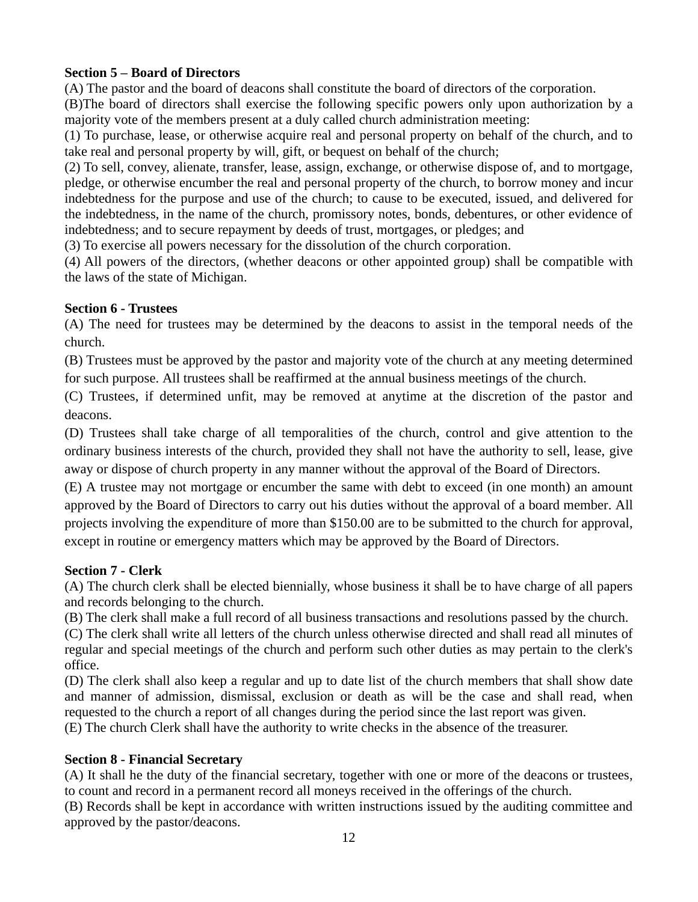# **Section 5 – Board of Directors**

(A) The pastor and the board of deacons shall constitute the board of directors of the corporation.

(B)The board of directors shall exercise the following specific powers only upon authorization by a majority vote of the members present at a duly called church administration meeting:

(1) To purchase, lease, or otherwise acquire real and personal property on behalf of the church, and to take real and personal property by will, gift, or bequest on behalf of the church;

(2) To sell, convey, alienate, transfer, lease, assign, exchange, or otherwise dispose of, and to mortgage, pledge, or otherwise encumber the real and personal property of the church, to borrow money and incur indebtedness for the purpose and use of the church; to cause to be executed, issued, and delivered for the indebtedness, in the name of the church, promissory notes, bonds, debentures, or other evidence of indebtedness; and to secure repayment by deeds of trust, mortgages, or pledges; and

(3) To exercise all powers necessary for the dissolution of the church corporation.

(4) All powers of the directors, (whether deacons or other appointed group) shall be compatible with the laws of the state of Michigan.

# **Section 6 - Trustees**

(A) The need for trustees may be determined by the deacons to assist in the temporal needs of the church.

(B) Trustees must be approved by the pastor and majority vote of the church at any meeting determined for such purpose. All trustees shall be reaffirmed at the annual business meetings of the church.

(C) Trustees, if determined unfit, may be removed at anytime at the discretion of the pastor and deacons.

(D) Trustees shall take charge of all temporalities of the church, control and give attention to the ordinary business interests of the church, provided they shall not have the authority to sell, lease, give away or dispose of church property in any manner without the approval of the Board of Directors.

(E) A trustee may not mortgage or encumber the same with debt to exceed (in one month) an amount approved by the Board of Directors to carry out his duties without the approval of a board member. All projects involving the expenditure of more than \$150.00 are to be submitted to the church for approval, except in routine or emergency matters which may be approved by the Board of Directors.

# **Section 7 - Clerk**

(A) The church clerk shall be elected biennially, whose business it shall be to have charge of all papers and records belonging to the church.

(B) The clerk shall make a full record of all business transactions and resolutions passed by the church.

(C) The clerk shall write all letters of the church unless otherwise directed and shall read all minutes of regular and special meetings of the church and perform such other duties as may pertain to the clerk's office.

(D) The clerk shall also keep a regular and up to date list of the church members that shall show date and manner of admission, dismissal, exclusion or death as will be the case and shall read, when requested to the church a report of all changes during the period since the last report was given. (E) The church Clerk shall have the authority to write checks in the absence of the treasurer.

# **Section 8 - Financial Secretary**

(A) It shall he the duty of the financial secretary, together with one or more of the deacons or trustees, to count and record in a permanent record all moneys received in the offerings of the church.

(B) Records shall be kept in accordance with written instructions issued by the auditing committee and approved by the pastor/deacons.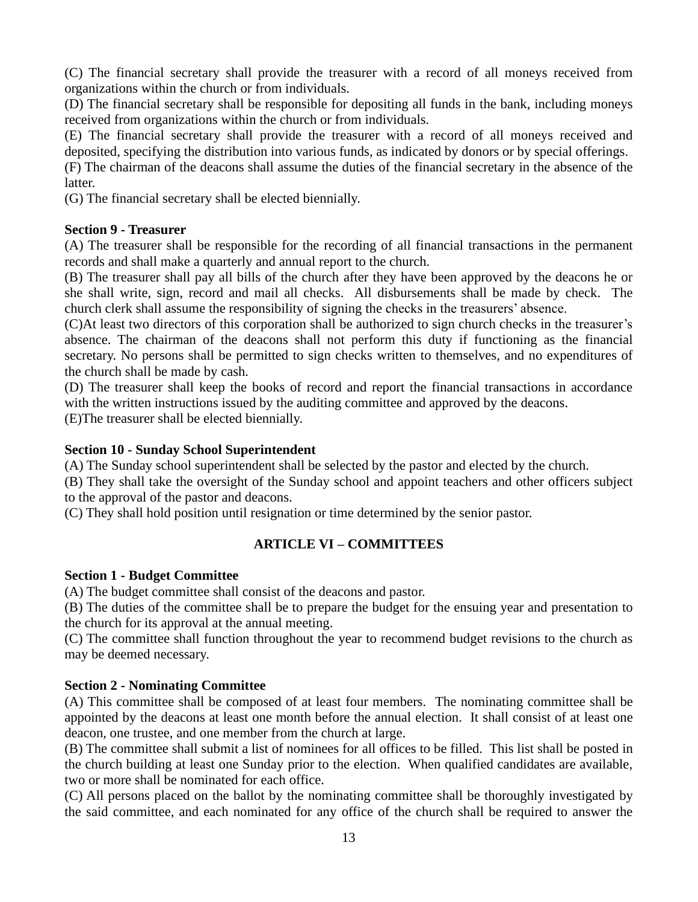(C) The financial secretary shall provide the treasurer with a record of all moneys received from organizations within the church or from individuals.

(D) The financial secretary shall be responsible for depositing all funds in the bank, including moneys received from organizations within the church or from individuals.

(E) The financial secretary shall provide the treasurer with a record of all moneys received and deposited, specifying the distribution into various funds, as indicated by donors or by special offerings.

(F) The chairman of the deacons shall assume the duties of the financial secretary in the absence of the latter.

(G) The financial secretary shall be elected biennially.

# **Section 9 - Treasurer**

(A) The treasurer shall be responsible for the recording of all financial transactions in the permanent records and shall make a quarterly and annual report to the church.

(B) The treasurer shall pay all bills of the church after they have been approved by the deacons he or she shall write, sign, record and mail all checks. All disbursements shall be made by check. The church clerk shall assume the responsibility of signing the checks in the treasurers' absence.

(C)At least two directors of this corporation shall be authorized to sign church checks in the treasurer's absence. The chairman of the deacons shall not perform this duty if functioning as the financial secretary. No persons shall be permitted to sign checks written to themselves, and no expenditures of the church shall be made by cash.

(D) The treasurer shall keep the books of record and report the financial transactions in accordance with the written instructions issued by the auditing committee and approved by the deacons.

(E)The treasurer shall be elected biennially.

# **Section 10 - Sunday School Superintendent**

(A) The Sunday school superintendent shall be selected by the pastor and elected by the church.

(B) They shall take the oversight of the Sunday school and appoint teachers and other officers subject to the approval of the pastor and deacons.

(C) They shall hold position until resignation or time determined by the senior pastor.

# **ARTICLE VI – COMMITTEES**

### **Section 1 - Budget Committee**

(A) The budget committee shall consist of the deacons and pastor.

(B) The duties of the committee shall be to prepare the budget for the ensuing year and presentation to the church for its approval at the annual meeting.

(C) The committee shall function throughout the year to recommend budget revisions to the church as may be deemed necessary.

# **Section 2 - Nominating Committee**

(A) This committee shall be composed of at least four members. The nominating committee shall be appointed by the deacons at least one month before the annual election. It shall consist of at least one deacon, one trustee, and one member from the church at large.

(B) The committee shall submit a list of nominees for all offices to be filled. This list shall be posted in the church building at least one Sunday prior to the election. When qualified candidates are available, two or more shall be nominated for each office.

(C) All persons placed on the ballot by the nominating committee shall be thoroughly investigated by the said committee, and each nominated for any office of the church shall be required to answer the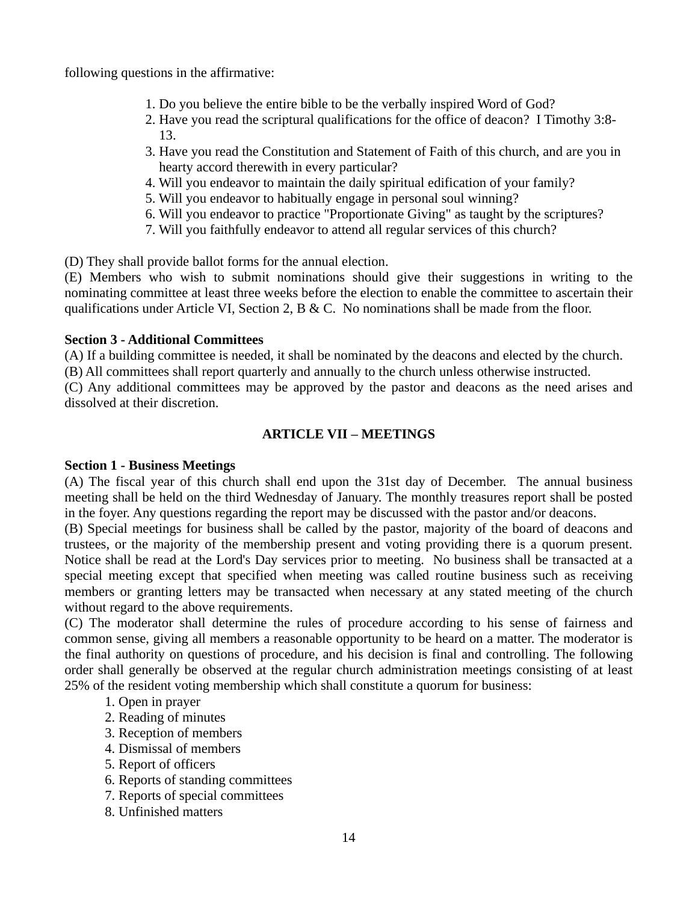following questions in the affirmative:

- 1. Do you believe the entire bible to be the verbally inspired Word of God?
- 2. Have you read the scriptural qualifications for the office of deacon? I Timothy 3:8- 13.
- 3. Have you read the Constitution and Statement of Faith of this church, and are you in hearty accord therewith in every particular?
- 4. Will you endeavor to maintain the daily spiritual edification of your family?
- 5. Will you endeavor to habitually engage in personal soul winning?
- 6. Will you endeavor to practice "Proportionate Giving" as taught by the scriptures?
- 7. Will you faithfully endeavor to attend all regular services of this church?

(D) They shall provide ballot forms for the annual election.

(E) Members who wish to submit nominations should give their suggestions in writing to the nominating committee at least three weeks before the election to enable the committee to ascertain their qualifications under Article VI, Section 2, B & C. No nominations shall be made from the floor.

# **Section 3 - Additional Committees**

(A) If a building committee is needed, it shall be nominated by the deacons and elected by the church.

(B) All committees shall report quarterly and annually to the church unless otherwise instructed.

(C) Any additional committees may be approved by the pastor and deacons as the need arises and dissolved at their discretion.

# **ARTICLE VII – MEETINGS**

# **Section 1 - Business Meetings**

(A) The fiscal year of this church shall end upon the 31st day of December. The annual business meeting shall be held on the third Wednesday of January. The monthly treasures report shall be posted in the foyer. Any questions regarding the report may be discussed with the pastor and/or deacons.

(B) Special meetings for business shall be called by the pastor, majority of the board of deacons and trustees, or the majority of the membership present and voting providing there is a quorum present. Notice shall be read at the Lord's Day services prior to meeting. No business shall be transacted at a special meeting except that specified when meeting was called routine business such as receiving members or granting letters may be transacted when necessary at any stated meeting of the church without regard to the above requirements.

(C) The moderator shall determine the rules of procedure according to his sense of fairness and common sense, giving all members a reasonable opportunity to be heard on a matter. The moderator is the final authority on questions of procedure, and his decision is final and controlling. The following order shall generally be observed at the regular church administration meetings consisting of at least 25% of the resident voting membership which shall constitute a quorum for business:

- 1. Open in prayer
- 2. Reading of minutes
- 3. Reception of members
- 4. Dismissal of members
- 5. Report of officers
- 6. Reports of standing committees
- 7. Reports of special committees
- 8. Unfinished matters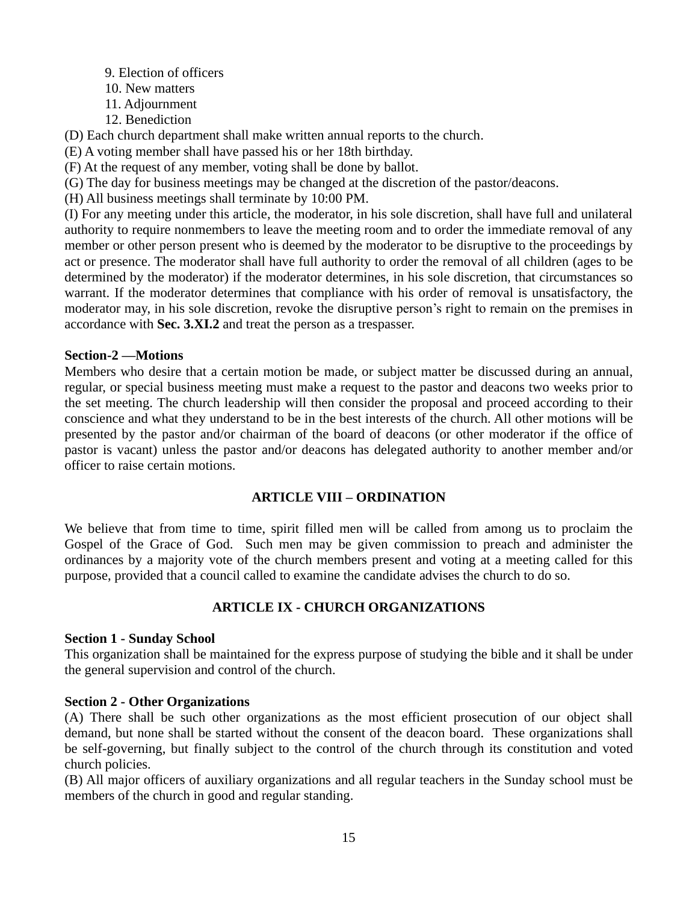- 9. Election of officers
- 10. New matters
- 11. Adjournment
- 12. Benediction

(D) Each church department shall make written annual reports to the church.

(E) A voting member shall have passed his or her 18th birthday.

(F) At the request of any member, voting shall be done by ballot.

(G) The day for business meetings may be changed at the discretion of the pastor/deacons.

(H) All business meetings shall terminate by 10:00 PM.

(I) For any meeting under this article, the moderator, in his sole discretion, shall have full and unilateral authority to require nonmembers to leave the meeting room and to order the immediate removal of any member or other person present who is deemed by the moderator to be disruptive to the proceedings by act or presence. The moderator shall have full authority to order the removal of all children (ages to be determined by the moderator) if the moderator determines, in his sole discretion, that circumstances so warrant. If the moderator determines that compliance with his order of removal is unsatisfactory, the moderator may, in his sole discretion, revoke the disruptive person's right to remain on the premises in accordance with **Sec. 3.XI.2** and treat the person as a trespasser.

# **Section-2 —Motions**

Members who desire that a certain motion be made, or subject matter be discussed during an annual, regular, or special business meeting must make a request to the pastor and deacons two weeks prior to the set meeting. The church leadership will then consider the proposal and proceed according to their conscience and what they understand to be in the best interests of the church. All other motions will be presented by the pastor and/or chairman of the board of deacons (or other moderator if the office of pastor is vacant) unless the pastor and/or deacons has delegated authority to another member and/or officer to raise certain motions.

# **ARTICLE VIII – ORDINATION**

We believe that from time to time, spirit filled men will be called from among us to proclaim the Gospel of the Grace of God. Such men may be given commission to preach and administer the ordinances by a majority vote of the church members present and voting at a meeting called for this purpose, provided that a council called to examine the candidate advises the church to do so.

# **ARTICLE IX - CHURCH ORGANIZATIONS**

### **Section 1 - Sunday School**

This organization shall be maintained for the express purpose of studying the bible and it shall be under the general supervision and control of the church.

### **Section 2 - Other Organizations**

(A) There shall be such other organizations as the most efficient prosecution of our object shall demand, but none shall be started without the consent of the deacon board. These organizations shall be self-governing, but finally subject to the control of the church through its constitution and voted church policies.

(B) All major officers of auxiliary organizations and all regular teachers in the Sunday school must be members of the church in good and regular standing.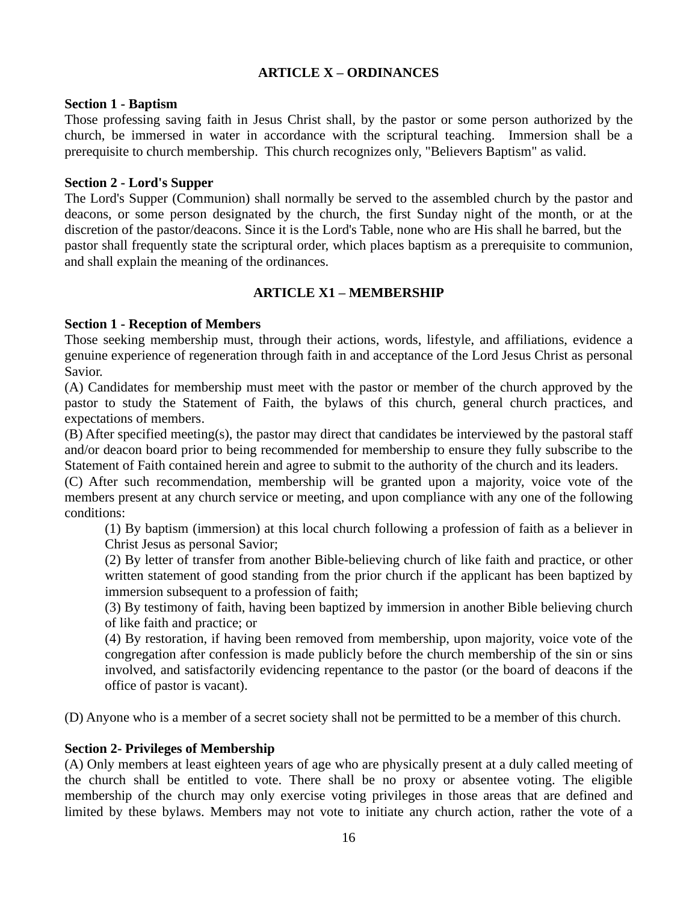# **ARTICLE X – ORDINANCES**

### **Section 1 - Baptism**

Those professing saving faith in Jesus Christ shall, by the pastor or some person authorized by the church, be immersed in water in accordance with the scriptural teaching. Immersion shall be a prerequisite to church membership. This church recognizes only, "Believers Baptism" as valid.

### **Section 2 - Lord's Supper**

The Lord's Supper (Communion) shall normally be served to the assembled church by the pastor and deacons, or some person designated by the church, the first Sunday night of the month, or at the discretion of the pastor/deacons. Since it is the Lord's Table, none who are His shall he barred, but the pastor shall frequently state the scriptural order, which places baptism as a prerequisite to communion, and shall explain the meaning of the ordinances.

# **ARTICLE X1 – MEMBERSHIP**

### **Section 1 - Reception of Members**

Those seeking membership must, through their actions, words, lifestyle, and affiliations, evidence a genuine experience of regeneration through faith in and acceptance of the Lord Jesus Christ as personal Savior.

(A) Candidates for membership must meet with the pastor or member of the church approved by the pastor to study the Statement of Faith, the bylaws of this church, general church practices, and expectations of members.

(B) After specified meeting(s), the pastor may direct that candidates be interviewed by the pastoral staff and/or deacon board prior to being recommended for membership to ensure they fully subscribe to the Statement of Faith contained herein and agree to submit to the authority of the church and its leaders.

(C) After such recommendation, membership will be granted upon a majority, voice vote of the members present at any church service or meeting, and upon compliance with any one of the following conditions:

(1) By baptism (immersion) at this local church following a profession of faith as a believer in Christ Jesus as personal Savior;

(2) By letter of transfer from another Bible-believing church of like faith and practice, or other written statement of good standing from the prior church if the applicant has been baptized by immersion subsequent to a profession of faith;

(3) By testimony of faith, having been baptized by immersion in another Bible believing church of like faith and practice; or

(4) By restoration, if having been removed from membership, upon majority, voice vote of the congregation after confession is made publicly before the church membership of the sin or sins involved, and satisfactorily evidencing repentance to the pastor (or the board of deacons if the office of pastor is vacant).

(D) Anyone who is a member of a secret society shall not be permitted to be a member of this church.

### **Section 2- Privileges of Membership**

(A) Only members at least eighteen years of age who are physically present at a duly called meeting of the church shall be entitled to vote. There shall be no proxy or absentee voting. The eligible membership of the church may only exercise voting privileges in those areas that are defined and limited by these bylaws. Members may not vote to initiate any church action, rather the vote of a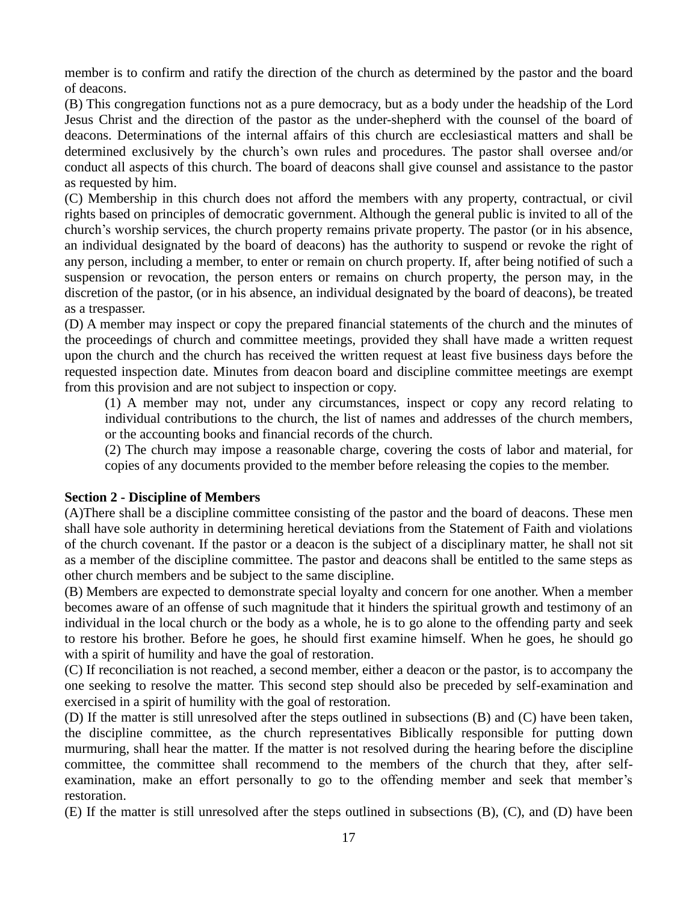member is to confirm and ratify the direction of the church as determined by the pastor and the board of deacons.

(B) This congregation functions not as a pure democracy, but as a body under the headship of the Lord Jesus Christ and the direction of the pastor as the under-shepherd with the counsel of the board of deacons. Determinations of the internal affairs of this church are ecclesiastical matters and shall be determined exclusively by the church's own rules and procedures. The pastor shall oversee and/or conduct all aspects of this church. The board of deacons shall give counsel and assistance to the pastor as requested by him.

(C) Membership in this church does not afford the members with any property, contractual, or civil rights based on principles of democratic government. Although the general public is invited to all of the church's worship services, the church property remains private property. The pastor (or in his absence, an individual designated by the board of deacons) has the authority to suspend or revoke the right of any person, including a member, to enter or remain on church property. If, after being notified of such a suspension or revocation, the person enters or remains on church property, the person may, in the discretion of the pastor, (or in his absence, an individual designated by the board of deacons), be treated as a trespasser.

(D) A member may inspect or copy the prepared financial statements of the church and the minutes of the proceedings of church and committee meetings, provided they shall have made a written request upon the church and the church has received the written request at least five business days before the requested inspection date. Minutes from deacon board and discipline committee meetings are exempt from this provision and are not subject to inspection or copy.

(1) A member may not, under any circumstances, inspect or copy any record relating to individual contributions to the church, the list of names and addresses of the church members, or the accounting books and financial records of the church.

(2) The church may impose a reasonable charge, covering the costs of labor and material, for copies of any documents provided to the member before releasing the copies to the member.

### **Section 2 - Discipline of Members**

(A)There shall be a discipline committee consisting of the pastor and the board of deacons. These men shall have sole authority in determining heretical deviations from the Statement of Faith and violations of the church covenant. If the pastor or a deacon is the subject of a disciplinary matter, he shall not sit as a member of the discipline committee. The pastor and deacons shall be entitled to the same steps as other church members and be subject to the same discipline.

(B) Members are expected to demonstrate special loyalty and concern for one another. When a member becomes aware of an offense of such magnitude that it hinders the spiritual growth and testimony of an individual in the local church or the body as a whole, he is to go alone to the offending party and seek to restore his brother. Before he goes, he should first examine himself. When he goes, he should go with a spirit of humility and have the goal of restoration.

(C) If reconciliation is not reached, a second member, either a deacon or the pastor, is to accompany the one seeking to resolve the matter. This second step should also be preceded by self-examination and exercised in a spirit of humility with the goal of restoration.

(D) If the matter is still unresolved after the steps outlined in subsections (B) and (C) have been taken, the discipline committee, as the church representatives Biblically responsible for putting down murmuring, shall hear the matter. If the matter is not resolved during the hearing before the discipline committee, the committee shall recommend to the members of the church that they, after selfexamination, make an effort personally to go to the offending member and seek that member's restoration.

(E) If the matter is still unresolved after the steps outlined in subsections (B), (C), and (D) have been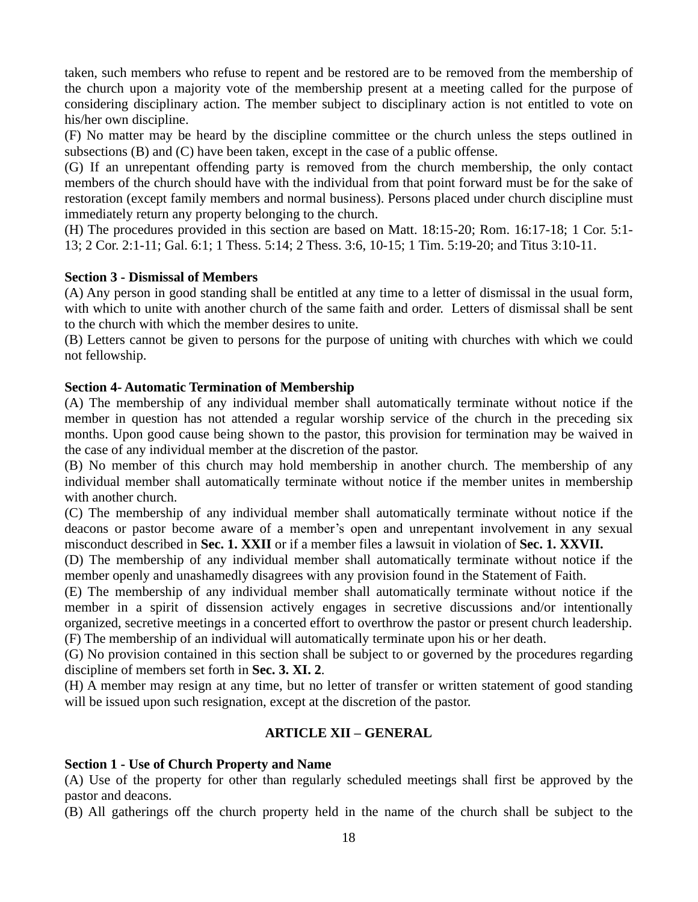taken, such members who refuse to repent and be restored are to be removed from the membership of the church upon a majority vote of the membership present at a meeting called for the purpose of considering disciplinary action. The member subject to disciplinary action is not entitled to vote on his/her own discipline.

(F) No matter may be heard by the discipline committee or the church unless the steps outlined in subsections (B) and (C) have been taken, except in the case of a public offense.

(G) If an unrepentant offending party is removed from the church membership, the only contact members of the church should have with the individual from that point forward must be for the sake of restoration (except family members and normal business). Persons placed under church discipline must immediately return any property belonging to the church.

(H) The procedures provided in this section are based on Matt. 18:15-20; Rom. 16:17-18; 1 Cor. 5:1- 13; 2 Cor. 2:1-11; Gal. 6:1; 1 Thess. 5:14; 2 Thess. 3:6, 10-15; 1 Tim. 5:19-20; and Titus 3:10-11.

# **Section 3 - Dismissal of Members**

(A) Any person in good standing shall be entitled at any time to a letter of dismissal in the usual form, with which to unite with another church of the same faith and order. Letters of dismissal shall be sent to the church with which the member desires to unite.

(B) Letters cannot be given to persons for the purpose of uniting with churches with which we could not fellowship.

# **Section 4- Automatic Termination of Membership**

(A) The membership of any individual member shall automatically terminate without notice if the member in question has not attended a regular worship service of the church in the preceding six months. Upon good cause being shown to the pastor, this provision for termination may be waived in the case of any individual member at the discretion of the pastor.

(B) No member of this church may hold membership in another church. The membership of any individual member shall automatically terminate without notice if the member unites in membership with another church.

(C) The membership of any individual member shall automatically terminate without notice if the deacons or pastor become aware of a member's open and unrepentant involvement in any sexual misconduct described in **Sec. 1. XXII** or if a member files a lawsuit in violation of **Sec. 1. XXVII.**

(D) The membership of any individual member shall automatically terminate without notice if the member openly and unashamedly disagrees with any provision found in the Statement of Faith.

(E) The membership of any individual member shall automatically terminate without notice if the member in a spirit of dissension actively engages in secretive discussions and/or intentionally organized, secretive meetings in a concerted effort to overthrow the pastor or present church leadership. (F) The membership of an individual will automatically terminate upon his or her death.

(G) No provision contained in this section shall be subject to or governed by the procedures regarding discipline of members set forth in **Sec. 3. XI. 2**.

(H) A member may resign at any time, but no letter of transfer or written statement of good standing will be issued upon such resignation, except at the discretion of the pastor.

# **ARTICLE XII – GENERAL**

# **Section 1 - Use of Church Property and Name**

(A) Use of the property for other than regularly scheduled meetings shall first be approved by the pastor and deacons.

(B) All gatherings off the church property held in the name of the church shall be subject to the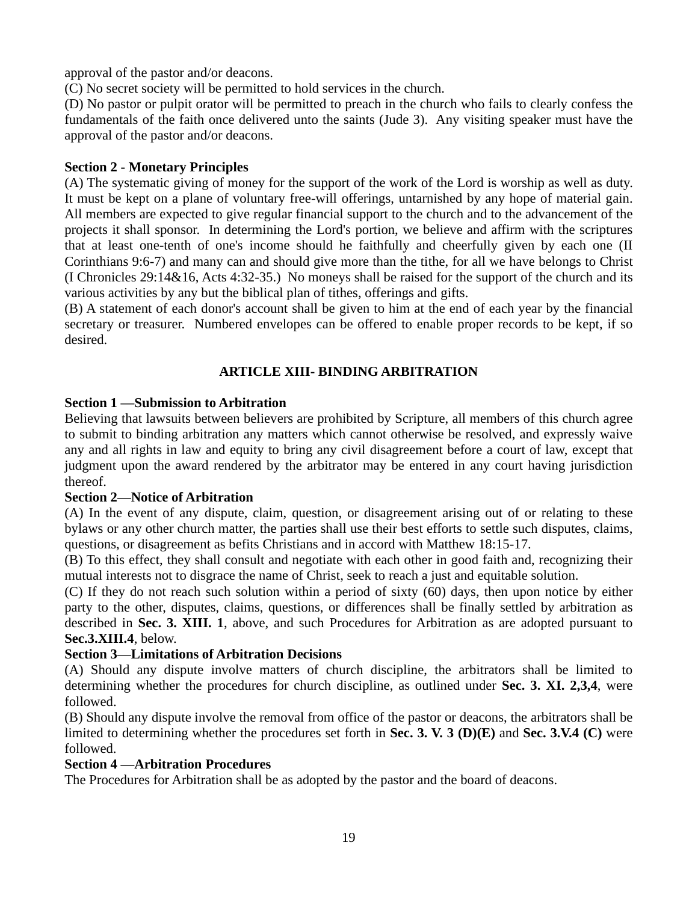approval of the pastor and/or deacons.

(C) No secret society will be permitted to hold services in the church.

(D) No pastor or pulpit orator will be permitted to preach in the church who fails to clearly confess the fundamentals of the faith once delivered unto the saints (Jude 3). Any visiting speaker must have the approval of the pastor and/or deacons.

# **Section 2 - Monetary Principles**

(A) The systematic giving of money for the support of the work of the Lord is worship as well as duty. It must be kept on a plane of voluntary free-will offerings, untarnished by any hope of material gain. All members are expected to give regular financial support to the church and to the advancement of the projects it shall sponsor. In determining the Lord's portion, we believe and affirm with the scriptures that at least one-tenth of one's income should he faithfully and cheerfully given by each one (II Corinthians 9:6-7) and many can and should give more than the tithe, for all we have belongs to Christ (I Chronicles 29:14&16, Acts 4:32-35.) No moneys shall be raised for the support of the church and its various activities by any but the biblical plan of tithes, offerings and gifts.

(B) A statement of each donor's account shall be given to him at the end of each year by the financial secretary or treasurer. Numbered envelopes can be offered to enable proper records to be kept, if so desired.

# **ARTICLE XIII- BINDING ARBITRATION**

# **Section 1 —Submission to Arbitration**

Believing that lawsuits between believers are prohibited by Scripture, all members of this church agree to submit to binding arbitration any matters which cannot otherwise be resolved, and expressly waive any and all rights in law and equity to bring any civil disagreement before a court of law, except that judgment upon the award rendered by the arbitrator may be entered in any court having jurisdiction thereof.

# **Section 2—Notice of Arbitration**

(A) In the event of any dispute, claim, question, or disagreement arising out of or relating to these bylaws or any other church matter, the parties shall use their best efforts to settle such disputes, claims, questions, or disagreement as befits Christians and in accord with Matthew 18:15-17.

(B) To this effect, they shall consult and negotiate with each other in good faith and, recognizing their mutual interests not to disgrace the name of Christ, seek to reach a just and equitable solution.

(C) If they do not reach such solution within a period of sixty (60) days, then upon notice by either party to the other, disputes, claims, questions, or differences shall be finally settled by arbitration as described in **Sec. 3. XIII. 1**, above, and such Procedures for Arbitration as are adopted pursuant to **Sec.3.XIII.4**, below.

### **Section 3—Limitations of Arbitration Decisions**

(A) Should any dispute involve matters of church discipline, the arbitrators shall be limited to determining whether the procedures for church discipline, as outlined under **Sec. 3. XI. 2,3,4**, were followed.

(B) Should any dispute involve the removal from office of the pastor or deacons, the arbitrators shall be limited to determining whether the procedures set forth in **Sec. 3. V. 3 (D)(E)** and **Sec. 3.V.4 (C)** were followed.

# **Section 4 —Arbitration Procedures**

The Procedures for Arbitration shall be as adopted by the pastor and the board of deacons.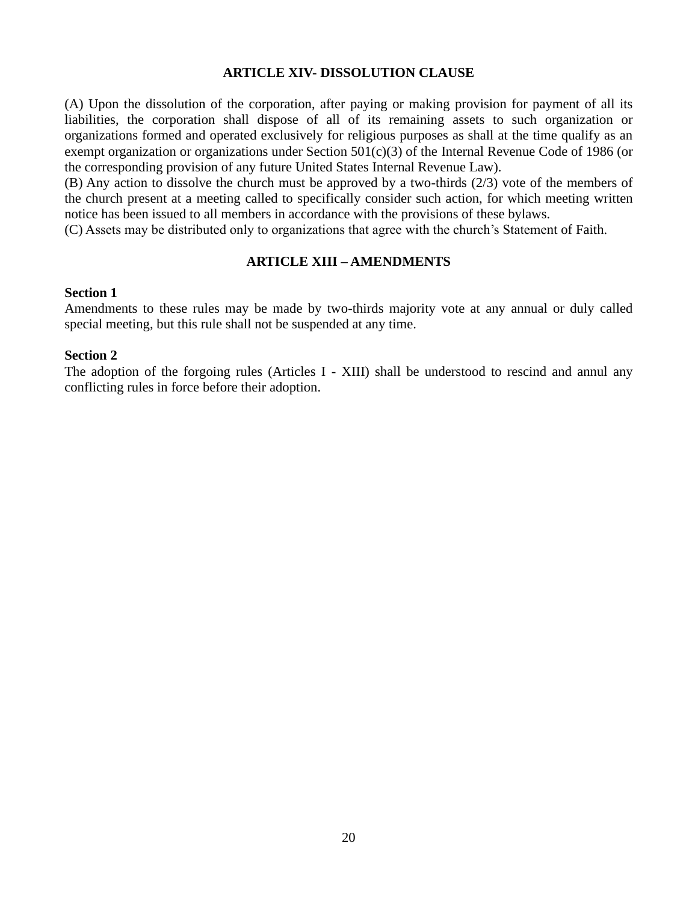### **ARTICLE XIV- DISSOLUTION CLAUSE**

(A) Upon the dissolution of the corporation, after paying or making provision for payment of all its liabilities, the corporation shall dispose of all of its remaining assets to such organization or organizations formed and operated exclusively for religious purposes as shall at the time qualify as an exempt organization or organizations under Section 501(c)(3) of the Internal Revenue Code of 1986 (or the corresponding provision of any future United States Internal Revenue Law).

(B) Any action to dissolve the church must be approved by a two-thirds (2/3) vote of the members of the church present at a meeting called to specifically consider such action, for which meeting written notice has been issued to all members in accordance with the provisions of these bylaws.

(C) Assets may be distributed only to organizations that agree with the church's Statement of Faith.

### **ARTICLE XIII – AMENDMENTS**

#### **Section 1**

Amendments to these rules may be made by two-thirds majority vote at any annual or duly called special meeting, but this rule shall not be suspended at any time.

### **Section 2**

The adoption of the forgoing rules (Articles I - XIII) shall be understood to rescind and annul any conflicting rules in force before their adoption.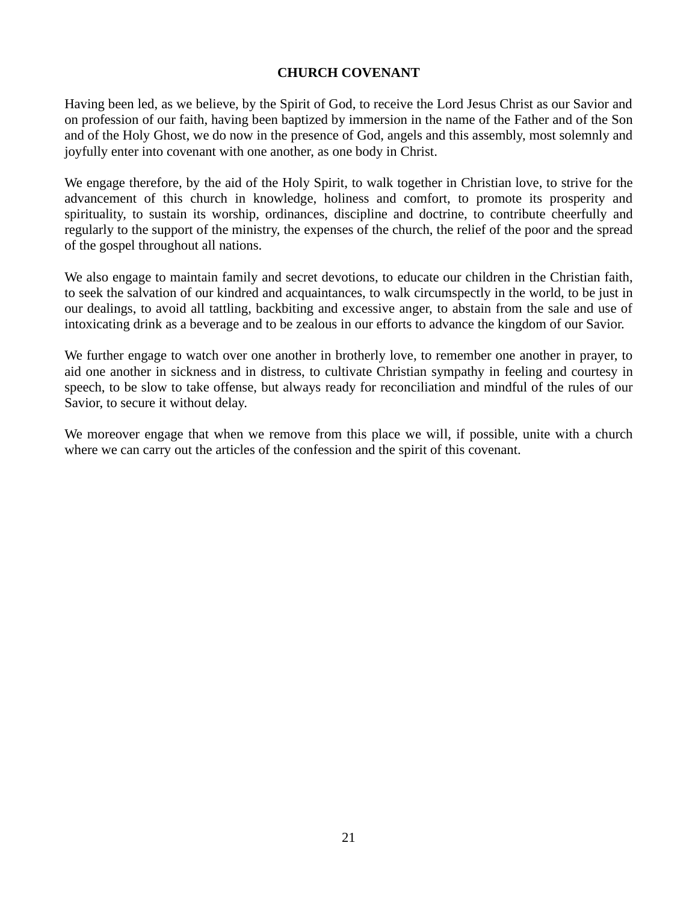### **CHURCH COVENANT**

Having been led, as we believe, by the Spirit of God, to receive the Lord Jesus Christ as our Savior and on profession of our faith, having been baptized by immersion in the name of the Father and of the Son and of the Holy Ghost, we do now in the presence of God, angels and this assembly, most solemnly and joyfully enter into covenant with one another, as one body in Christ.

We engage therefore, by the aid of the Holy Spirit, to walk together in Christian love, to strive for the advancement of this church in knowledge, holiness and comfort, to promote its prosperity and spirituality, to sustain its worship, ordinances, discipline and doctrine, to contribute cheerfully and regularly to the support of the ministry, the expenses of the church, the relief of the poor and the spread of the gospel throughout all nations.

We also engage to maintain family and secret devotions, to educate our children in the Christian faith, to seek the salvation of our kindred and acquaintances, to walk circumspectly in the world, to be just in our dealings, to avoid all tattling, backbiting and excessive anger, to abstain from the sale and use of intoxicating drink as a beverage and to be zealous in our efforts to advance the kingdom of our Savior.

We further engage to watch over one another in brotherly love, to remember one another in prayer, to aid one another in sickness and in distress, to cultivate Christian sympathy in feeling and courtesy in speech, to be slow to take offense, but always ready for reconciliation and mindful of the rules of our Savior, to secure it without delay.

We moreover engage that when we remove from this place we will, if possible, unite with a church where we can carry out the articles of the confession and the spirit of this covenant.